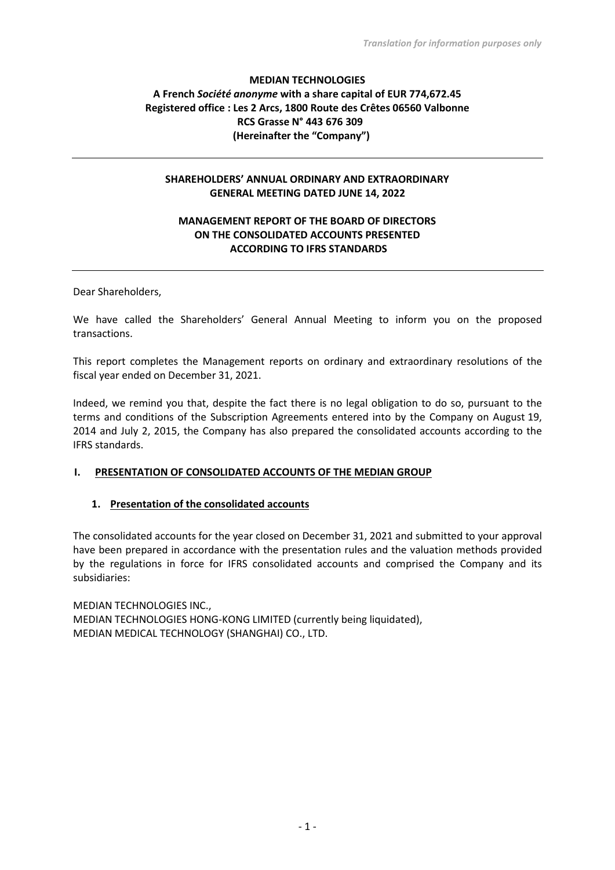## **MEDIAN TECHNOLOGIES A French** *Société anonyme* **with a share capital of EUR 774,672.45 Registered office : Les 2 Arcs, 1800 Route des Crêtes 06560 Valbonne RCS Grasse N° 443 676 309 (Hereinafter the "Company")**

### **SHAREHOLDERS' ANNUAL ORDINARY AND EXTRAORDINARY GENERAL MEETING DATED JUNE 14, 2022**

### **MANAGEMENT REPORT OF THE BOARD OF DIRECTORS ON THE CONSOLIDATED ACCOUNTS PRESENTED ACCORDING TO IFRS STANDARDS**

Dear Shareholders,

We have called the Shareholders' General Annual Meeting to inform you on the proposed transactions.

This report completes the Management reports on ordinary and extraordinary resolutions of the fiscal year ended on December 31, 2021.

Indeed, we remind you that, despite the fact there is no legal obligation to do so, pursuant to the terms and conditions of the Subscription Agreements entered into by the Company on August 19, 2014 and July 2, 2015, the Company has also prepared the consolidated accounts according to the IFRS standards.

### **I. PRESENTATION OF CONSOLIDATED ACCOUNTS OF THE MEDIAN GROUP**

#### **1. Presentation of the consolidated accounts**

The consolidated accounts for the year closed on December 31, 2021 and submitted to your approval have been prepared in accordance with the presentation rules and the valuation methods provided by the regulations in force for IFRS consolidated accounts and comprised the Company and its subsidiaries:

MEDIAN TECHNOLOGIES INC., MEDIAN TECHNOLOGIES HONG-KONG LIMITED (currently being liquidated), MEDIAN MEDICAL TECHNOLOGY (SHANGHAI) CO., LTD.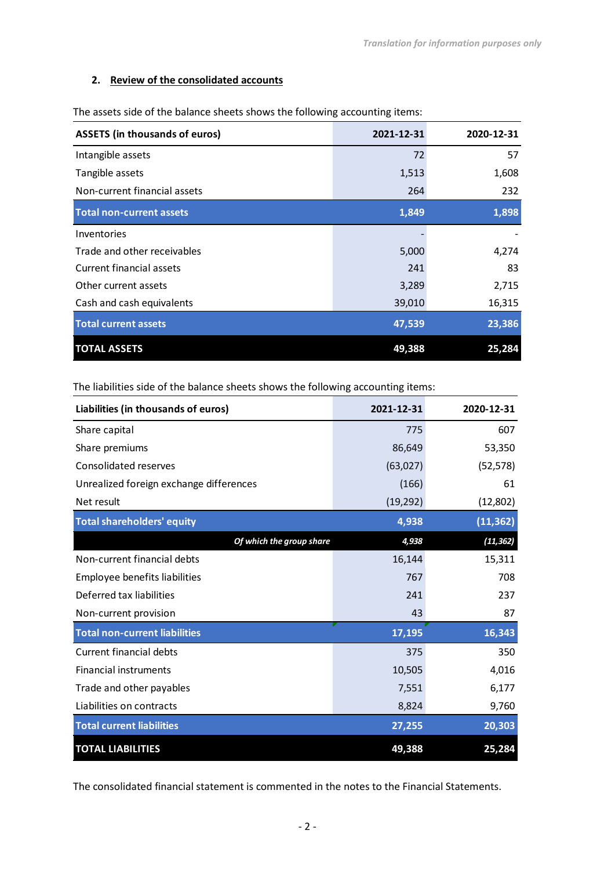## **2. Review of the consolidated accounts**

| <b>ASSETS (in thousands of euros)</b> | 2021-12-31 | 2020-12-31 |
|---------------------------------------|------------|------------|
| Intangible assets                     | 72         | 57         |
| Tangible assets                       | 1,513      | 1,608      |
| Non-current financial assets          | 264        | 232        |
| <b>Total non-current assets</b>       | 1,849      | 1,898      |
| Inventories                           |            |            |
| Trade and other receivables           | 5,000      | 4,274      |
| Current financial assets              | 241        | 83         |
| Other current assets                  | 3,289      | 2,715      |
| Cash and cash equivalents             | 39,010     | 16,315     |
| <b>Total current assets</b>           | 47,539     | 23,386     |
| <b>TOTAL ASSETS</b>                   | 49,388     | 25,284     |

The assets side of the balance sheets shows the following accounting items:

The liabilities side of the balance sheets shows the following accounting items:

| Liabilities (in thousands of euros)     | 2021-12-31 | 2020-12-31 |
|-----------------------------------------|------------|------------|
| Share capital                           | 775        | 607        |
| Share premiums                          | 86,649     | 53,350     |
| Consolidated reserves                   | (63,027)   | (52, 578)  |
| Unrealized foreign exchange differences | (166)      | 61         |
| Net result                              | (19, 292)  | (12,802)   |
| <b>Total shareholders' equity</b>       | 4,938      | (11, 362)  |
| Of which the group share                | 4,938      | (11, 362)  |
| Non-current financial debts             | 16,144     | 15,311     |
| Employee benefits liabilities           | 767        | 708        |
| Deferred tax liabilities                | 241        | 237        |
| Non-current provision                   | 43         | 87         |
| <b>Total non-current liabilities</b>    | 17,195     | 16,343     |
| <b>Current financial debts</b>          | 375        | 350        |
| <b>Financial instruments</b>            | 10,505     | 4,016      |
| Trade and other payables                | 7,551      | 6,177      |
| Liabilities on contracts                | 8,824      | 9,760      |
| <b>Total current liabilities</b>        | 27,255     | 20,303     |
| <b>TOTAL LIABILITIES</b>                | 49,388     | 25,284     |

The consolidated financial statement is commented in the notes to the Financial Statements.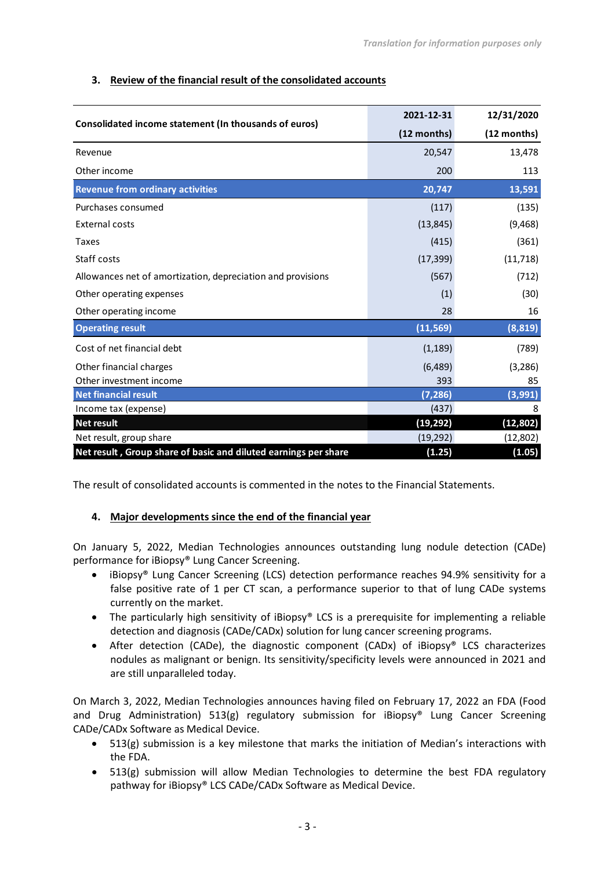# **3. Review of the financial result of the consolidated accounts**

| Consolidated income statement (In thousands of euros)           | 2021-12-31  | 12/31/2020    |
|-----------------------------------------------------------------|-------------|---------------|
|                                                                 | (12 months) | $(12$ months) |
| Revenue                                                         | 20,547      | 13,478        |
| Other income                                                    | 200         | 113           |
| <b>Revenue from ordinary activities</b>                         | 20,747      | 13,591        |
| Purchases consumed                                              | (117)       | (135)         |
| <b>External costs</b>                                           | (13, 845)   | (9,468)       |
| <b>Taxes</b>                                                    | (415)       | (361)         |
| Staff costs                                                     | (17, 399)   | (11, 718)     |
| Allowances net of amortization, depreciation and provisions     | (567)       | (712)         |
| Other operating expenses                                        | (1)         | (30)          |
| Other operating income                                          | 28          | 16            |
| <b>Operating result</b>                                         | (11, 569)   | (8, 819)      |
| Cost of net financial debt                                      | (1, 189)    | (789)         |
| Other financial charges                                         | (6,489)     | (3, 286)      |
| Other investment income                                         | 393         | 85            |
| <b>Net financial result</b>                                     | (7, 286)    | (3,991)       |
| Income tax (expense)                                            | (437)       | 8             |
| <b>Net result</b>                                               | (19,292)    | (12, 802)     |
| Net result, group share                                         | (19, 292)   | (12,802)      |
| Net result, Group share of basic and diluted earnings per share | (1.25)      | (1.05)        |

The result of consolidated accounts is commented in the notes to the Financial Statements.

# **4. Major developments since the end of the financial year**

On January 5, 2022, Median Technologies announces outstanding lung nodule detection (CADe) performance for iBiopsy® Lung Cancer Screening.

- iBiopsy® Lung Cancer Screening (LCS) detection performance reaches 94.9% sensitivity for a false positive rate of 1 per CT scan, a performance superior to that of lung CADe systems currently on the market.
- The particularly high sensitivity of iBiopsy® LCS is a prerequisite for implementing a reliable detection and diagnosis (CADe/CADx) solution for lung cancer screening programs.
- After detection (CADe), the diagnostic component (CADx) of iBiopsy<sup>®</sup> LCS characterizes nodules as malignant or benign. Its sensitivity/specificity levels were announced in 2021 and are still unparalleled today.

On March 3, 2022, Median Technologies announces having filed on February 17, 2022 an FDA (Food and Drug Administration) 513(g) regulatory submission for iBiopsy® Lung Cancer Screening CADe/CADx Software as Medical Device.

- 513(g) submission is a key milestone that marks the initiation of Median's interactions with the FDA.
- 513(g) submission will allow Median Technologies to determine the best FDA regulatory pathway for iBiopsy® LCS CADe/CADx Software as Medical Device.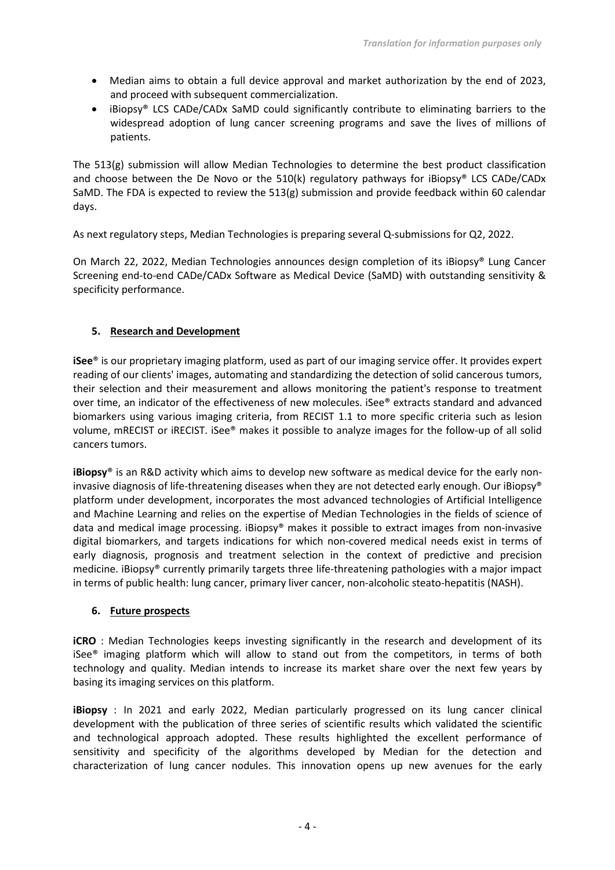- Median aims to obtain a full device approval and market authorization by the end of 2023, and proceed with subsequent commercialization.
- iBiopsy® LCS CADe/CADx SaMD could significantly contribute to eliminating barriers to the widespread adoption of lung cancer screening programs and save the lives of millions of patients.

The 513(g) submission will allow Median Technologies to determine the best product classification and choose between the De Novo or the 510(k) regulatory pathways for iBiopsy® LCS CADe/CADx SaMD. The FDA is expected to review the 513(g) submission and provide feedback within 60 calendar days.

As next regulatory steps, Median Technologies is preparing several Q-submissions for Q2, 2022.

On March 22, 2022, Median Technologies announces design completion of its iBiopsy® Lung Cancer Screening end-to-end CADe/CADx Software as Medical Device (SaMD) with outstanding sensitivity & specificity performance.

# **5. Research and Development**

**iSee**® is our proprietary imaging platform, used as part of our imaging service offer. It provides expert reading of our clients' images, automating and standardizing the detection of solid cancerous tumors, their selection and their measurement and allows monitoring the patient's response to treatment over time, an indicator of the effectiveness of new molecules. iSee® extracts standard and advanced biomarkers using various imaging criteria, from RECIST 1.1 to more specific criteria such as lesion volume, mRECIST or iRECIST. iSee® makes it possible to analyze images for the follow-up of all solid cancers tumors.

**iBiopsy**® is an R&D activity which aims to develop new software as medical device for the early noninvasive diagnosis of life-threatening diseases when they are not detected early enough. Our iBiopsy® platform under development, incorporates the most advanced technologies of Artificial Intelligence and Machine Learning and relies on the expertise of Median Technologies in the fields of science of data and medical image processing. iBiopsy® makes it possible to extract images from non-invasive digital biomarkers, and targets indications for which non-covered medical needs exist in terms of early diagnosis, prognosis and treatment selection in the context of predictive and precision medicine. iBiopsy® currently primarily targets three life-threatening pathologies with a major impact in terms of public health: lung cancer, primary liver cancer, non-alcoholic steato-hepatitis (NASH).

### **6. Future prospects**

**iCRO** : Median Technologies keeps investing significantly in the research and development of its iSee® imaging platform which will allow to stand out from the competitors, in terms of both technology and quality. Median intends to increase its market share over the next few years by basing its imaging services on this platform.

**iBiopsy** : In 2021 and early 2022, Median particularly progressed on its lung cancer clinical development with the publication of three series of scientific results which validated the scientific and technological approach adopted. These results highlighted the excellent performance of sensitivity and specificity of the algorithms developed by Median for the detection and characterization of lung cancer nodules. This innovation opens up new avenues for the early